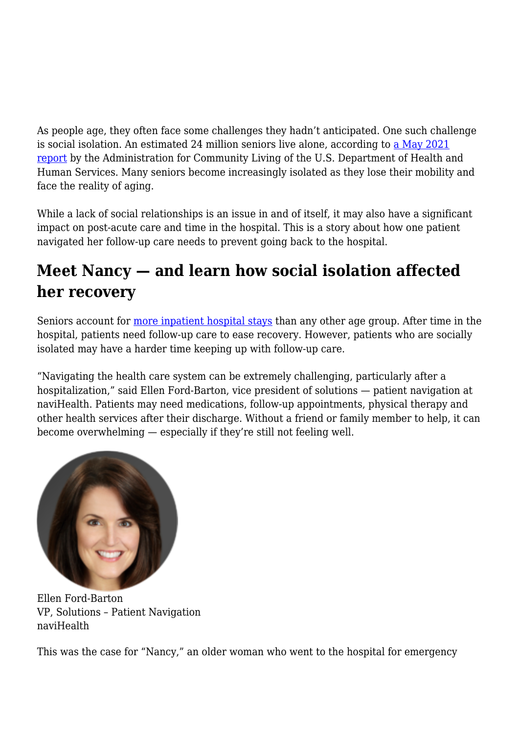As people age, they often face some challenges they hadn't anticipated. One such challenge is social isolation. An estimated 24 million seniors live alone, according to [a May 2021](https://acl.gov/sites/default/files/Aging%20and%20Disability%20in%20America/2020ProfileOlderAmericans.Final_.pdf) [report](https://acl.gov/sites/default/files/Aging%20and%20Disability%20in%20America/2020ProfileOlderAmericans.Final_.pdf) by the Administration for Community Living of the U.S. Department of Health and Human Services. Many seniors become increasingly isolated as they lose their mobility and face the reality of aging.

While a lack of social relationships is an issue in and of itself, it may also have a significant impact on post-acute care and time in the hospital. This is a story about how one patient navigated her follow-up care needs to prevent going back to the hospital.

## **Meet Nancy — and learn how social isolation affected her recovery**

Seniors account for [more inpatient hospital stays](https://www.hcup-us.ahrq.gov/reports/statbriefs/sb235-Inpatient-Stays-Age-Payer-Trends.jsp) than any other age group. After time in the hospital, patients need follow-up care to ease recovery. However, patients who are socially isolated may have a harder time keeping up with follow-up care.

"Navigating the health care system can be extremely challenging, particularly after a hospitalization," said Ellen Ford-Barton, vice president of solutions — patient navigation at naviHealth. Patients may need medications, follow-up appointments, physical therapy and other health services after their discharge. Without a friend or family member to help, it can become overwhelming — especially if they're still not feeling well.



Ellen Ford-Barton VP, Solutions – Patient Navigation naviHealth

This was the case for "Nancy," an older woman who went to the hospital for emergency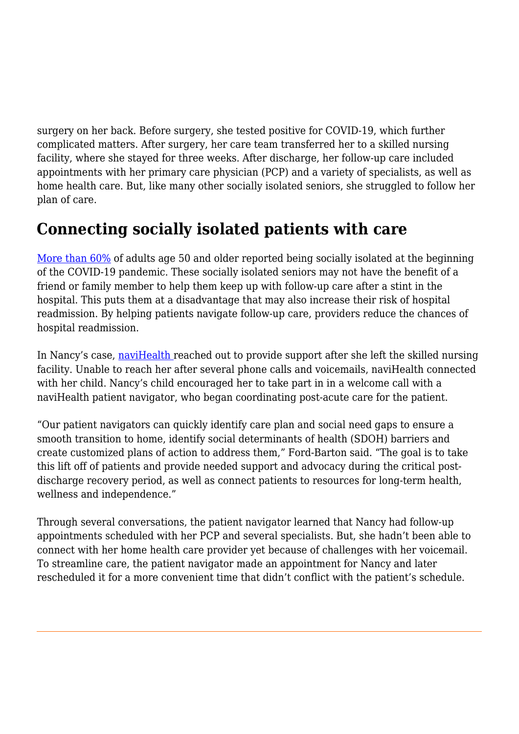surgery on her back. Before surgery, she tested positive for COVID-19, which further complicated matters. After surgery, her care team transferred her to a skilled nursing facility, where she stayed for three weeks. After discharge, her follow-up care included appointments with her primary care physician (PCP) and a variety of specialists, as well as home health care. But, like many other socially isolated seniors, she struggled to follow her plan of care.

## **Connecting socially isolated patients with care**

[More than 60%](https://jamanetwork.com/journals/jama/fullarticle/2776188) of adults age 50 and older reported being socially isolated at the beginning of the COVID-19 pandemic. These socially isolated seniors may not have the benefit of a friend or family member to help them keep up with follow-up care after a stint in the hospital. This puts them at a disadvantage that may also increase their risk of hospital readmission. By helping patients navigate follow-up care, providers reduce the chances of hospital readmission.

In Nancy's case, [naviHealth](https://navihealth.com/solutions/readmissions-reduction/) reached out to provide support after she left the skilled nursing facility. Unable to reach her after several phone calls and voicemails, naviHealth connected with her child. Nancy's child encouraged her to take part in in a welcome call with a naviHealth patient navigator, who began coordinating post-acute care for the patient.

"Our patient navigators can quickly identify care plan and social need gaps to ensure a smooth transition to home, identify social determinants of health (SDOH) barriers and create customized plans of action to address them," Ford-Barton said. "The goal is to take this lift off of patients and provide needed support and advocacy during the critical postdischarge recovery period, as well as connect patients to resources for long-term health, wellness and independence."

Through several conversations, the patient navigator learned that Nancy had follow-up appointments scheduled with her PCP and several specialists. But, she hadn't been able to connect with her home health care provider yet because of challenges with her voicemail. To streamline care, the patient navigator made an appointment for Nancy and later rescheduled it for a more convenient time that didn't conflict with the patient's schedule.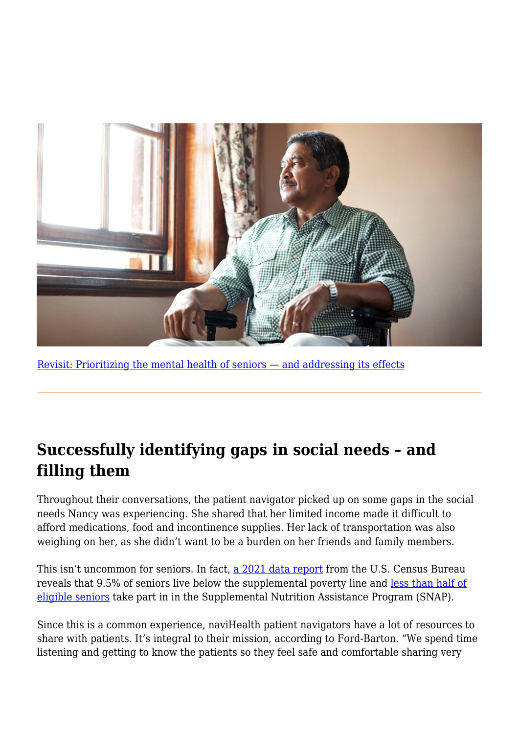

[Revisit: Prioritizing the mental health of seniors — and addressing its effects](https://navihealth.com/essentialinsights/prioritizing-the-mental-health-of-seniors-and-addressing-its-effects/)

## **Successfully identifying gaps in social needs – and filling them**

Throughout their conversations, the patient navigator picked up on some gaps in the social needs Nancy was experiencing. She shared that her limited income made it difficult to afford medications, food and incontinence supplies. Her lack of transportation was also weighing on her, as she didn't want to be a burden on her friends and family members.

This isn't uncommon for seniors. In fact, [a 2021 data report](https://www.census.gov/content/dam/Census/library/publications/2021/demo/p60-275.pdf) from the U.S. Census Bureau reveals that 9.5% of seniors live below the supplemental poverty line and [less than half of](https://www.ncoa.org/article/7-facts-about-older-adults-and-snap) [eligible seniors](https://www.ncoa.org/article/7-facts-about-older-adults-and-snap) take part in in the Supplemental Nutrition Assistance Program (SNAP).

Since this is a common experience, naviHealth patient navigators have a lot of resources to share with patients. It's integral to their mission, according to Ford-Barton. "We spend time listening and getting to know the patients so they feel safe and comfortable sharing very